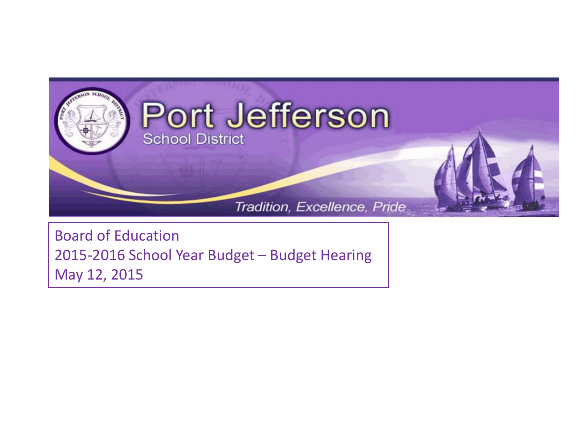

Board of Education 2015-2016 School Year Budget – Budget Hearing May 12, 2015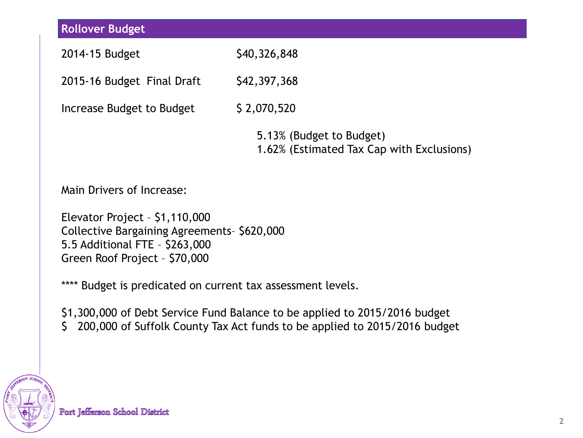| <b>Rollover Budget</b>     |                                                                       |
|----------------------------|-----------------------------------------------------------------------|
| 2014-15 Budget             | \$40,326,848                                                          |
| 2015-16 Budget Final Draft | \$42,397,368                                                          |
| Increase Budget to Budget  | \$2,070,520                                                           |
|                            | 5.13% (Budget to Budget)<br>1.62% (Estimated Tax Cap with Exclusions) |
| Main Drivers of Increase:  |                                                                       |

Elevator Project – \$1,110,000 Collective Bargaining Agreements– \$620,000 5.5 Additional FTE – \$263,000 Green Roof Project – \$70,000

\*\*\*\* Budget is predicated on current tax assessment levels.

\$1,300,000 of Debt Service Fund Balance to be applied to 2015/2016 budget \$ 200,000 of Suffolk County Tax Act funds to be applied to 2015/2016 budget

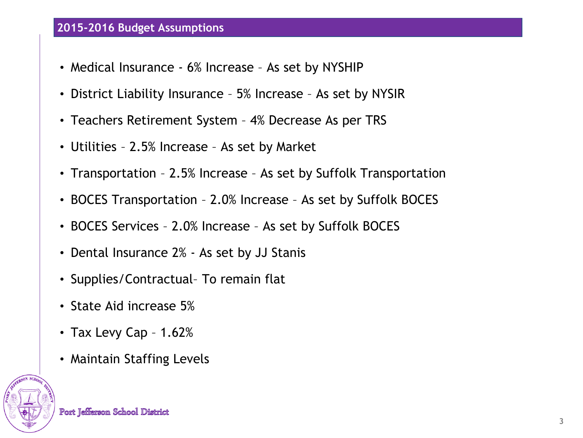## **2015-2016 Budget Assumptions**

- Medical Insurance 6% Increase As set by NYSHIP
- District Liability Insurance 5% Increase As set by NYSIR
- Teachers Retirement System 4% Decrease As per TRS
- Utilities 2.5% Increase As set by Market
- Transportation 2.5% Increase As set by Suffolk Transportation
- BOCES Transportation 2.0% Increase As set by Suffolk BOCES
- BOCES Services 2.0% Increase As set by Suffolk BOCES
- Dental Insurance 2% As set by JJ Stanis
- Supplies/Contractual– To remain flat
- State Aid increase 5%
- Tax Levy Cap 1.62%
- Maintain Staffing Levels

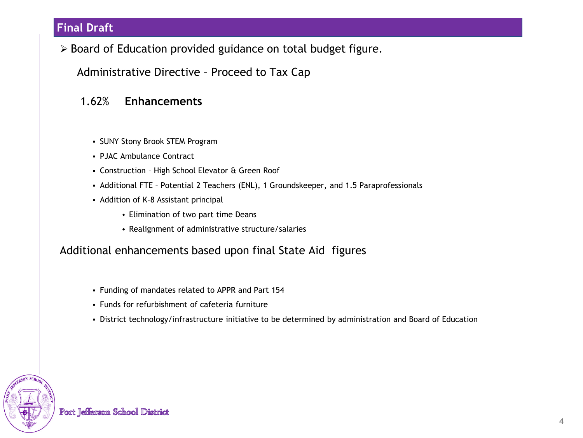### **Final Draft**

▶ Board of Education provided guidance on total budget figure.

Administrative Directive – Proceed to Tax Cap

#### 1.62% **Enhancements**

- SUNY Stony Brook STEM Program
- PJAC Ambulance Contract
- Construction High School Elevator & Green Roof
- Additional FTE Potential 2 Teachers (ENL), 1 Groundskeeper, and 1.5 Paraprofessionals
- Addition of K-8 Assistant principal
	- Elimination of two part time Deans
	- Realignment of administrative structure/salaries

#### Additional enhancements based upon final State Aid figures

- Funding of mandates related to APPR and Part 154
- Funds for refurbishment of cafeteria furniture
- District technology/infrastructure initiative to be determined by administration and Board of Education



Port Jefferson School District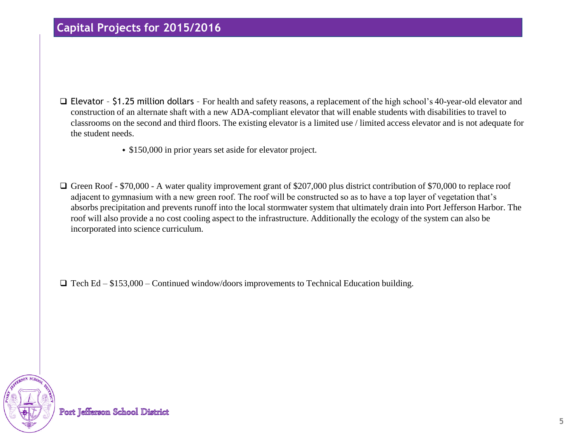### **Capital Projects for 2015/2016**

- Elevator \$1.25 million dollars For health and safety reasons, a replacement of the high school's 40-year-old elevator and construction of an alternate shaft with a new ADA-compliant elevator that will enable students with disabilities to travel to classrooms on the second and third floors. The existing elevator is a limited use / limited access elevator and is not adequate for the student needs.
	- \$150,000 in prior years set aside for elevator project.
- Green Roof \$70,000 A water quality improvement grant of \$207,000 plus district contribution of \$70,000 to replace roof adjacent to gymnasium with a new green roof. The roof will be constructed so as to have a top layer of vegetation that's absorbs precipitation and prevents runoff into the local stormwater system that ultimately drain into Port Jefferson Harbor. The roof will also provide a no cost cooling aspect to the infrastructure. Additionally the ecology of the system can also be incorporated into science curriculum.

 $\Box$  Tech Ed – \$153,000 – Continued window/doors improvements to Technical Education building.

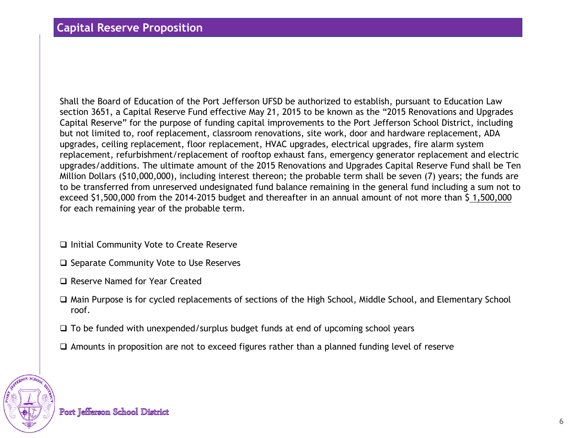Shall the Board of Education of the Port Jefferson UFSD be authorized to establish, pursuant to Education Law section 3651, a Capital Reserve Fund effective May 21, 2015 to be known as the "2015 Renovations and Upgrades Capital Reserve" for the purpose of funding capital improvements to the Port Jefferson School District, including but not limited to, roof replacement, classroom renovations, site work, door and hardware replacement, ADA upgrades, ceiling replacement, floor replacement, HVAC upgrades, electrical upgrades, fire alarm system replacement, refurbishment/replacement of rooftop exhaust fans, emergency generator replacement and electric upgrades/additions. The ultimate amount of the 2015 Renovations and Upgrades Capital Reserve Fund shall be Ten Million Dollars (\$10,000,000), including interest thereon; the probable term shall be seven (7) years; the funds are to be transferred from unreserved undesignated fund balance remaining in the general fund including a sum not to exceed \$1,500,000 from the 2014-2015 budget and thereafter in an annual amount of not more than \$ 1,500,000 for each remaining year of the probable term.

- $\Box$  Initial Community Vote to Create Reserve
- $\square$  Separate Community Vote to Use Reserves
- Reserve Named for Year Created
- Main Purpose is for cycled replacements of sections of the High School, Middle School, and Elementary School roof.
- $\Box$  To be funded with unexpended/surplus budget funds at end of upcoming school years
- $\Box$  Amounts in proposition are not to exceed figures rather than a planned funding level of reserve

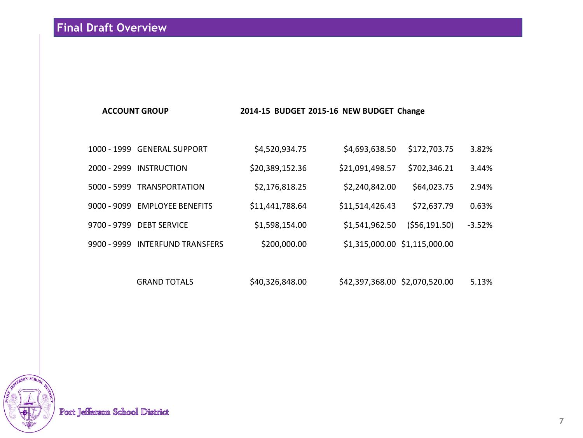#### **ACCOUNT GROUP 2014-15 BUDGET 2015-16 NEW BUDGET Change**

|               | 1000 - 1999 GENERAL SUPPORT     | \$4,520,934.75  | \$4,693,638.50                | \$172,703.75  | 3.82%    |
|---------------|---------------------------------|-----------------|-------------------------------|---------------|----------|
| $2000 - 2999$ | <b>INSTRUCTION</b>              | \$20,389,152.36 | \$21,091,498.57               | \$702,346.21  | 3.44%    |
|               | 5000 - 5999 TRANSPORTATION      | \$2,176,818.25  | \$2,240,842.00                | \$64,023.75   | 2.94%    |
|               | 9000 - 9099 EMPLOYEE BENEFITS   | \$11,441,788.64 | \$11,514,426.43               | \$72,637.79   | 0.63%    |
|               | 9700 - 9799 DEBT SERVICE        | \$1,598,154.00  | \$1,541,962.50                | (556, 191.50) | $-3.52%$ |
|               | 9900 - 9999 INTERFUND TRANSFERS | \$200,000.00    | \$1,315,000.00 \$1,115,000.00 |               |          |
|               |                                 |                 |                               |               |          |

GRAND TOTALS \$40,326,848.00 \$42,397,368.00 \$2,070,520.00 5.13%



Port Jefferson School District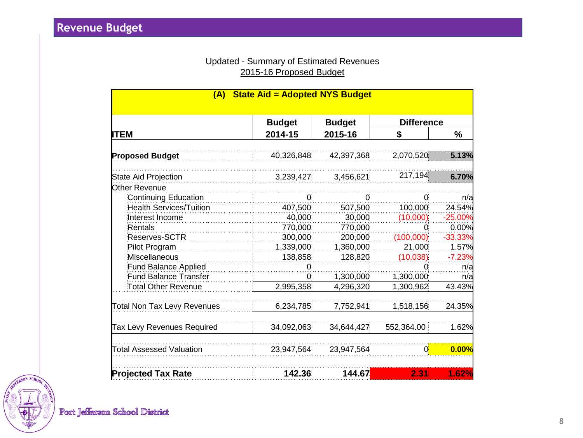#### Updated - Summary of Estimated Revenues 2015-16 Proposed Budget

| <b>State Aid = Adopted NYS Budget</b><br>(A) |               |                          |                   |           |  |
|----------------------------------------------|---------------|--------------------------|-------------------|-----------|--|
|                                              | <b>Budget</b> | <b>Budget</b><br>2015-16 | <b>Difference</b> |           |  |
| ITEM                                         | 2014-15       |                          | S                 | %         |  |
| <b>Proposed Budget</b>                       | 40,326,848    | 42,397,368               | 2,070,520         | 5.13%     |  |
| <b>State Aid Projection</b>                  | 3,239,427     | 3,456,621                | 217,194           | 6.70%     |  |
| Other Revenue                                |               |                          |                   |           |  |
| <b>Continuing Education</b>                  | 0             | 0                        | 0                 | n/a       |  |
| <b>Health Services/Tuition</b>               | 407,500       | 507,500                  | 100,000           | 24.54%    |  |
| Interest Income                              | 40,000        | 30,000                   | (10,000)          | $-25.00%$ |  |
| Rentals                                      | 770,000       | 770,000                  | 0                 | 0.00%     |  |
| Reserves-SCTR                                | 300,000       | 200,000                  | (100.000)         | $-33.33%$ |  |
| Pilot Program                                | 1,339,000     | 1,360,000                | 21,000            | 1.57%     |  |
| Miscellaneous                                | 138,858       | 128,820                  | (10,038)          | $-7.23%$  |  |
| <b>Fund Balance Applied</b>                  | 0             |                          | 0                 | n/a       |  |
| <b>Fund Balance Transfer</b>                 | 0.            | 1,300,000                | 1,300,000         | n/a       |  |
| Total Other Revenue                          | 2,995,358     | 4,296,320                | 1,300,962         | 43.43%    |  |
| <b>Total Non Tax Levy Revenues</b>           | 6,234,785     | 7,752,941                | 1,518,156         | 24.35%    |  |
| Tax Levy Revenues Required                   | 34,092,063    | 34,644,427               | 552,364.00        | 1.62%     |  |
| <b>Total Assessed Valuation</b>              | 23,947,564    | 23,947,564               | 0                 | 0.00%     |  |
| <b>Projected Tax Rate</b>                    | 142.36        | 144.67                   | 2.31              | 1.62%     |  |